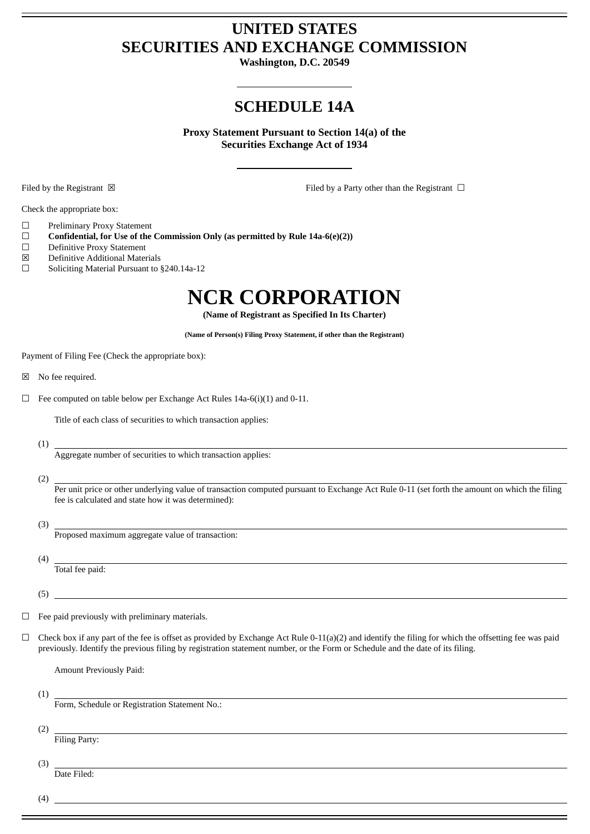## **UNITED STATES SECURITIES AND EXCHANGE COMMISSION**

**Washington, D.C. 20549**

## **SCHEDULE 14A**

**Proxy Statement Pursuant to Section 14(a) of the Securities Exchange Act of 1934**

Filed by the Registrant ⊠ The Registrant ⊆ Filed by a Party other than the Registrant □

Check the appropriate box:

- ☐ Preliminary Proxy Statement
- ☐ **Confidential, for Use of the Commission Only (as permitted by Rule 14a-6(e)(2))**
- ☐ Definitive Proxy Statement
- ☒ Definitive Additional Materials
- ☐ Soliciting Material Pursuant to §240.14a-12

## **NCR CORPORATION**

**(Name of Registrant as Specified In Its Charter)**

**(Name of Person(s) Filing Proxy Statement, if other than the Registrant)**

Payment of Filing Fee (Check the appropriate box):

- ☒ No fee required.
- $\Box$  Fee computed on table below per Exchange Act Rules 14a-6(i)(1) and 0-11.

Title of each class of securities to which transaction applies:

(1)

Aggregate number of securities to which transaction applies:

(2)

Per unit price or other underlying value of transaction computed pursuant to Exchange Act Rule 0-11 (set forth the amount on which the filing fee is calculated and state how it was determined):

(3)

Proposed maximum aggregate value of transaction:

(4) Total fee paid:

(5)

- $\Box$  Fee paid previously with preliminary materials.
- $\Box$  Check box if any part of the fee is offset as provided by Exchange Act Rule 0-11(a)(2) and identify the filing for which the offsetting fee was paid previously. Identify the previous filing by registration statement number, or the Form or Schedule and the date of its filing.

Amount Previously Paid:

(1)

Form, Schedule or Registration Statement No.:

(2)

Filing Party:

(3)

Date Filed:

(4)